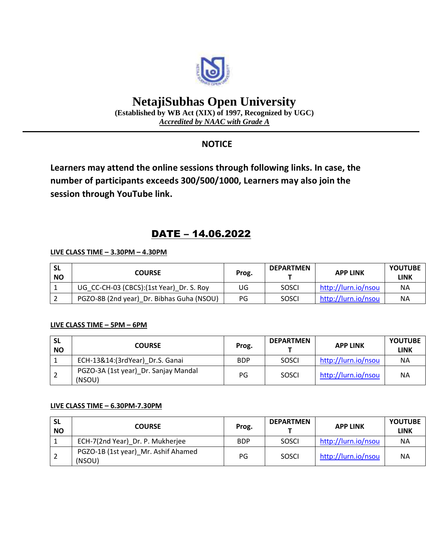

# **NetajiSubhas Open University**

**(Established by WB Act (XIX) of 1997, Recognized by UGC)** *Accredited by NAAC with Grade A*

### **NOTICE**

**Learners may attend the online sessions through following links. In case, the number of participants exceeds 300/500/1000, Learners may also join the session through YouTube link.**

## DATE – 14.06.2022

#### **LIVE CLASS TIME – 3.30PM – 4.30PM**

| -SL<br><b>NO</b> | <b>COURSE</b>                             | Prog. | <b>DEPARTMEN</b> | <b>APP LINK</b>     | <b>YOUTUBE</b><br>LINK |
|------------------|-------------------------------------------|-------|------------------|---------------------|------------------------|
|                  | UG_CC-CH-03 (CBCS):(1st Year)_Dr. S. Roy  | UG    | <b>SOSCI</b>     | http://lurn.io/nsou | <b>NA</b>              |
|                  | PGZO-8B (2nd year) Dr. Bibhas Guha (NSOU) | PG    | <b>SOSCI</b>     | http://lurn.io/nsou | ΝA                     |

#### **LIVE CLASS TIME – 5PM – 6PM**

| <b>SL</b><br><b>NO</b> | <b>COURSE</b>                                  | Prog.      | <b>DEPARTMEN</b> | <b>APP LINK</b>     | <b>YOUTUBE</b><br><b>LINK</b> |
|------------------------|------------------------------------------------|------------|------------------|---------------------|-------------------------------|
|                        | ECH-13&14:(3rdYear) Dr.S. Ganai                | <b>BDP</b> | <b>SOSCI</b>     | http://lurn.io/nsou | <b>NA</b>                     |
|                        | PGZO-3A (1st year)_Dr. Sanjay Mandal<br>(NSOU) | PG         | <b>SOSCI</b>     | http://lurn.io/nsou | <b>NA</b>                     |

#### **LIVE CLASS TIME – 6.30PM-7.30PM**

| <b>SL</b><br><b>NO</b> | <b>COURSE</b>                                 | Prog.      | <b>DEPARTMEN</b> | <b>APP LINK</b>     | <b>YOUTUBE</b><br><b>LINK</b> |
|------------------------|-----------------------------------------------|------------|------------------|---------------------|-------------------------------|
|                        | ECH-7(2nd Year) Dr. P. Mukherjee              | <b>BDP</b> | <b>SOSCI</b>     | http://lurn.io/nsou | <b>NA</b>                     |
| Z                      | PGZO-1B (1st year) Mr. Ashif Ahamed<br>(NSOU) | PG         | <b>SOSCI</b>     | http://lurn.io/nsou | <b>NA</b>                     |